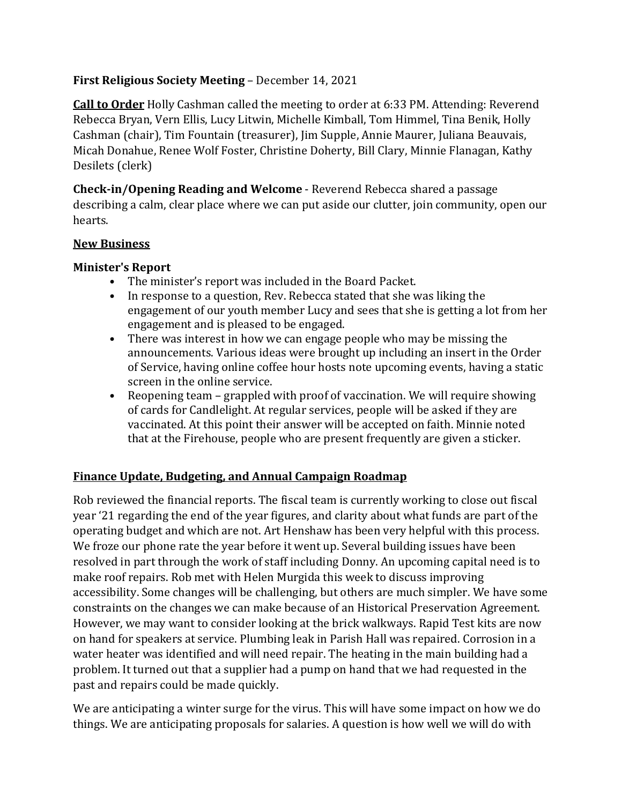# **First Religious Society Meeting** – December 14, 2021

**Call to Order** Holly Cashman called the meeting to order at 6:33 PM. Attending: Reverend Rebecca Bryan, Vern Ellis, Lucy Litwin, Michelle Kimball, Tom Himmel, Tina Benik, Holly Cashman (chair), Tim Fountain (treasurer), Jim Supple, Annie Maurer, Juliana Beauvais, Micah Donahue, Renee Wolf Foster, Christine Doherty, Bill Clary, Minnie Flanagan, Kathy Desilets (clerk)

**Check-in/Opening Reading and Welcome** - Reverend Rebecca shared a passage describing a calm, clear place where we can put aside our clutter, join community, open our hearts.

### **New Business**

### **Minister's Report**

- The minister's report was included in the Board Packet.
- In response to a question, Rev. Rebecca stated that she was liking the engagement of our youth member Lucy and sees that she is getting a lot from her engagement and is pleased to be engaged.
- There was interest in how we can engage people who may be missing the announcements. Various ideas were brought up including an insert in the Order of Service, having online coffee hour hosts note upcoming events, having a static screen in the online service.
- Reopening team grappled with proof of vaccination. We will require showing of cards for Candlelight. At regular services, people will be asked if they are vaccinated. At this point their answer will be accepted on faith. Minnie noted that at the Firehouse, people who are present frequently are given a sticker.

### **Finance Update, Budgeting, and Annual Campaign Roadmap**

Rob reviewed the financial reports. The fiscal team is currently working to close out fiscal year '21 regarding the end of the year figures, and clarity about what funds are part of the operating budget and which are not. Art Henshaw has been very helpful with this process. We froze our phone rate the year before it went up. Several building issues have been resolved in part through the work of staff including Donny. An upcoming capital need is to make roof repairs. Rob met with Helen Murgida this week to discuss improving accessibility. Some changes will be challenging, but others are much simpler. We have some constraints on the changes we can make because of an Historical Preservation Agreement. However, we may want to consider looking at the brick walkways. Rapid Test kits are now on hand for speakers at service. Plumbing leak in Parish Hall was repaired. Corrosion in a water heater was identified and will need repair. The heating in the main building had a problem. It turned out that a supplier had a pump on hand that we had requested in the past and repairs could be made quickly.

We are anticipating a winter surge for the virus. This will have some impact on how we do things. We are anticipating proposals for salaries. A question is how well we will do with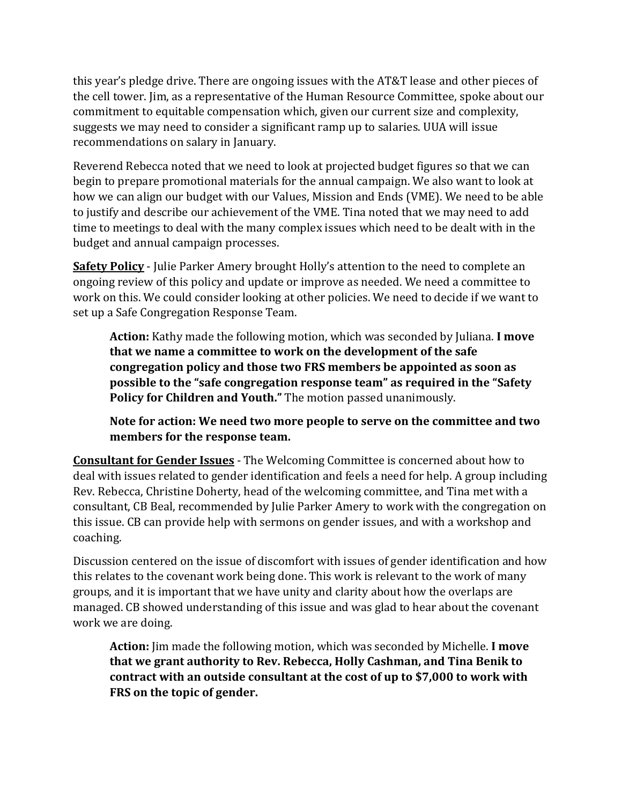this year's pledge drive. There are ongoing issues with the AT&T lease and other pieces of the cell tower. Jim, as a representative of the Human Resource Committee, spoke about our commitment to equitable compensation which, given our current size and complexity, suggests we may need to consider a significant ramp up to salaries. UUA will issue recommendations on salary in January.

Reverend Rebecca noted that we need to look at projected budget figures so that we can begin to prepare promotional materials for the annual campaign. We also want to look at how we can align our budget with our Values, Mission and Ends (VME). We need to be able to justify and describe our achievement of the VME. Tina noted that we may need to add time to meetings to deal with the many complex issues which need to be dealt with in the budget and annual campaign processes.

**Safety Policy** - Julie Parker Amery brought Holly's attention to the need to complete an ongoing review of this policy and update or improve as needed. We need a committee to work on this. We could consider looking at other policies. We need to decide if we want to set up a Safe Congregation Response Team.

**Action:** Kathy made the following motion, which was seconded by Juliana. **I move that we name a committee to work on the development of the safe congregation policy and those two FRS members be appointed as soon as possible to the "safe congregation response team" as required in the "Safety Policy for Children and Youth."** The motion passed unanimously.

**Note for action: We need two more people to serve on the committee and two members for the response team.** 

**Consultant for Gender Issues** - The Welcoming Committee is concerned about how to deal with issues related to gender identification and feels a need for help. A group including Rev. Rebecca, Christine Doherty, head of the welcoming committee, and Tina met with a consultant, CB Beal, recommended by Julie Parker Amery to work with the congregation on this issue. CB can provide help with sermons on gender issues, and with a workshop and coaching.

Discussion centered on the issue of discomfort with issues of gender identification and how this relates to the covenant work being done. This work is relevant to the work of many groups, and it is important that we have unity and clarity about how the overlaps are managed. CB showed understanding of this issue and was glad to hear about the covenant work we are doing.

**Action:** Jim made the following motion, which was seconded by Michelle. **I move that we grant authority to Rev. Rebecca, Holly Cashman, and Tina Benik to contract with an outside consultant at the cost of up to \$7,000 to work with FRS on the topic of gender.**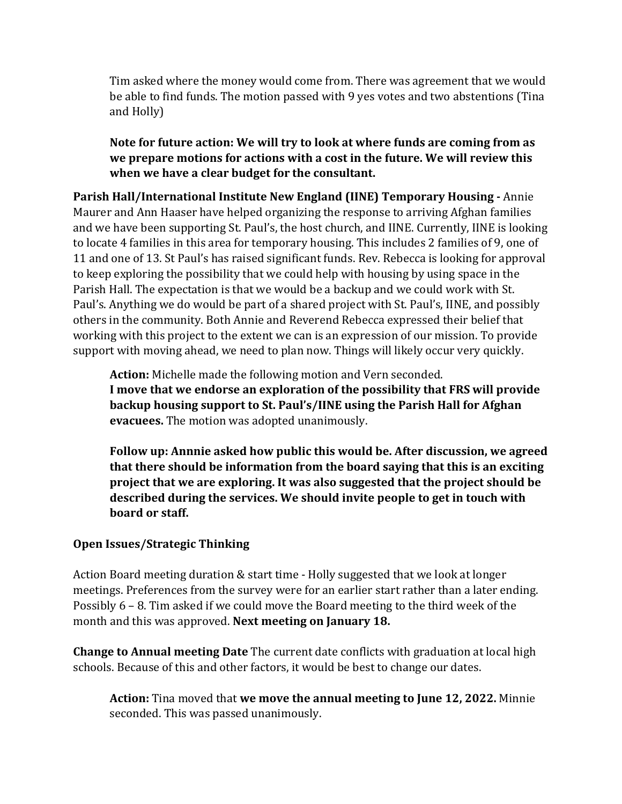Tim asked where the money would come from. There was agreement that we would be able to find funds. The motion passed with 9 yes votes and two abstentions (Tina and Holly)

**Note for future action: We will try to look at where funds are coming from as we prepare motions for actions with a cost in the future. We will review this when we have a clear budget for the consultant.**

**Parish Hall/International Institute New England (IINE) Temporary Housing -** Annie Maurer and Ann Haaser have helped organizing the response to arriving Afghan families and we have been supporting St. Paul's, the host church, and IINE. Currently, IINE is looking to locate 4 families in this area for temporary housing. This includes 2 families of 9, one of 11 and one of 13. St Paul's has raised significant funds. Rev. Rebecca is looking for approval to keep exploring the possibility that we could help with housing by using space in the Parish Hall. The expectation is that we would be a backup and we could work with St. Paul's. Anything we do would be part of a shared project with St. Paul's, IINE, and possibly others in the community. Both Annie and Reverend Rebecca expressed their belief that working with this project to the extent we can is an expression of our mission. To provide support with moving ahead, we need to plan now. Things will likely occur very quickly.

**Action:** Michelle made the following motion and Vern seconded. **I move that we endorse an exploration of the possibility that FRS will provide backup housing support to St. Paul's/IINE using the Parish Hall for Afghan evacuees.** The motion was adopted unanimously.

**Follow up: Annnie asked how public this would be. After discussion, we agreed that there should be information from the board saying that this is an exciting project that we are exploring. It was also suggested that the project should be described during the services. We should invite people to get in touch with board or staff.** 

# **Open Issues/Strategic Thinking**

Action Board meeting duration & start time - Holly suggested that we look at longer meetings. Preferences from the survey were for an earlier start rather than a later ending. Possibly 6 – 8. Tim asked if we could move the Board meeting to the third week of the month and this was approved. **Next meeting on January 18.**

**Change to Annual meeting Date** The current date conflicts with graduation at local high schools. Because of this and other factors, it would be best to change our dates.

**Action:** Tina moved that **we move the annual meeting to June 12, 2022.** Minnie seconded. This was passed unanimously.